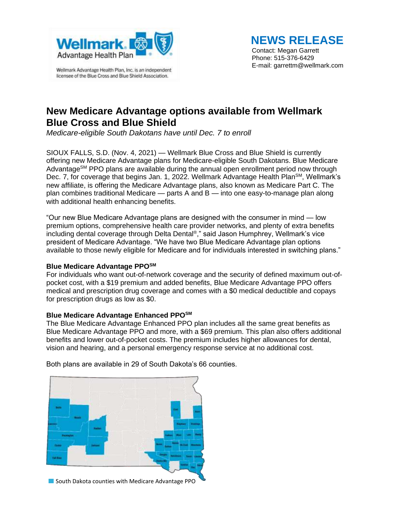

licensee of the Blue Cross and Blue Shield Association.

 **NEWS RELEASE**

Contact: Megan Garrett Phone: 515-376-6429 E-mail: garrettm@wellmark.com

# **New Medicare Advantage options available from Wellmark Blue Cross and Blue Shield**

*Medicare-eligible South Dakotans have until Dec. 7 to enroll*

SIOUX FALLS, S.D. (Nov. 4, 2021) — Wellmark Blue Cross and Blue Shield is currently offering new Medicare Advantage plans for Medicare-eligible South Dakotans. Blue Medicare Advantage<sup>SM</sup> PPO plans are available during the annual open enrollment period now through Dec. 7, for coverage that begins Jan. 1, 2022. Wellmark Advantage Health Plan<sup>SM</sup>, Wellmark's new affiliate, is offering the Medicare Advantage plans, also known as Medicare Part C. The plan combines traditional Medicare — parts A and B — into one easy-to-manage plan along with additional health enhancing benefits.

"Our new Blue Medicare Advantage plans are designed with the consumer in mind — low premium options, comprehensive health care provider networks, and plenty of extra benefits including dental coverage through Delta Dental® ," said Jason Humphrey, Wellmark's vice president of Medicare Advantage. "We have two Blue Medicare Advantage plan options available to those newly eligible for Medicare and for individuals interested in switching plans."

## **Blue Medicare Advantage PPOSM**

For individuals who want out-of-network coverage and the security of defined maximum out-ofpocket cost, with a \$19 premium and added benefits, Blue Medicare Advantage PPO offers medical and prescription drug coverage and comes with a \$0 medical deductible and copays for prescription drugs as low as \$0.

### **Blue Medicare Advantage Enhanced PPOSM**

The Blue Medicare Advantage Enhanced PPO plan includes all the same great benefits as Blue Medicare Advantage PPO and more, with a \$69 premium. This plan also offers additional benefits and lower out-of-pocket costs. The premium includes higher allowances for dental, vision and hearing, and a personal emergency response service at no additional cost.



Both plans are available in 29 of South Dakota's 66 counties.

South Dakota counties with Medicare Advantage PPO